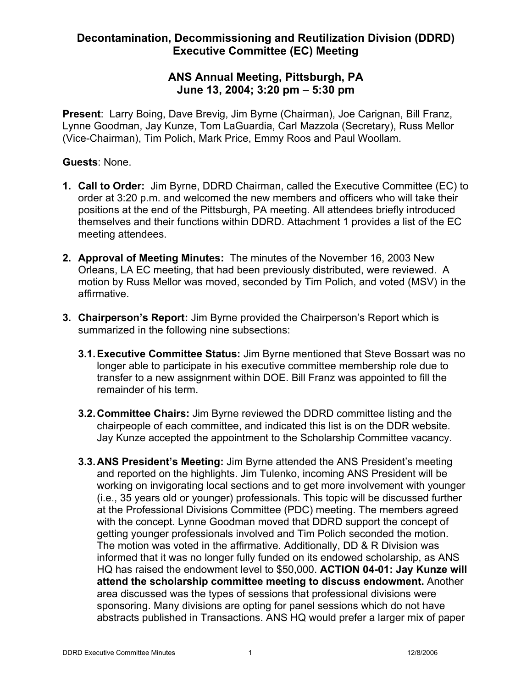## **ANS Annual Meeting, Pittsburgh, PA June 13, 2004; 3:20 pm – 5:30 pm**

**Present**: Larry Boing, Dave Brevig, Jim Byrne (Chairman), Joe Carignan, Bill Franz, Lynne Goodman, Jay Kunze, Tom LaGuardia, Carl Mazzola (Secretary), Russ Mellor (Vice-Chairman), Tim Polich, Mark Price, Emmy Roos and Paul Woollam.

#### **Guests**: None.

- **1. Call to Order:** Jim Byrne, DDRD Chairman, called the Executive Committee (EC) to order at 3:20 p.m. and welcomed the new members and officers who will take their positions at the end of the Pittsburgh, PA meeting. All attendees briefly introduced themselves and their functions within DDRD. Attachment 1 provides a list of the EC meeting attendees.
- **2. Approval of Meeting Minutes:** The minutes of the November 16, 2003 New Orleans, LA EC meeting, that had been previously distributed, were reviewed. A motion by Russ Mellor was moved, seconded by Tim Polich, and voted (MSV) in the affirmative.
- **3. Chairperson's Report:** Jim Byrne provided the Chairperson's Report which is summarized in the following nine subsections:
	- **3.1.Executive Committee Status:** Jim Byrne mentioned that Steve Bossart was no longer able to participate in his executive committee membership role due to transfer to a new assignment within DOE. Bill Franz was appointed to fill the remainder of his term.
	- **3.2.Committee Chairs:** Jim Byrne reviewed the DDRD committee listing and the chairpeople of each committee, and indicated this list is on the DDR website. Jay Kunze accepted the appointment to the Scholarship Committee vacancy.
	- **3.3.ANS President's Meeting:** Jim Byrne attended the ANS President's meeting and reported on the highlights. Jim Tulenko, incoming ANS President will be working on invigorating local sections and to get more involvement with younger (i.e., 35 years old or younger) professionals. This topic will be discussed further at the Professional Divisions Committee (PDC) meeting. The members agreed with the concept. Lynne Goodman moved that DDRD support the concept of getting younger professionals involved and Tim Polich seconded the motion. The motion was voted in the affirmative. Additionally, DD & R Division was informed that it was no longer fully funded on its endowed scholarship, as ANS HQ has raised the endowment level to \$50,000. **ACTION 04-01: Jay Kunze will attend the scholarship committee meeting to discuss endowment.** Another area discussed was the types of sessions that professional divisions were sponsoring. Many divisions are opting for panel sessions which do not have abstracts published in Transactions. ANS HQ would prefer a larger mix of paper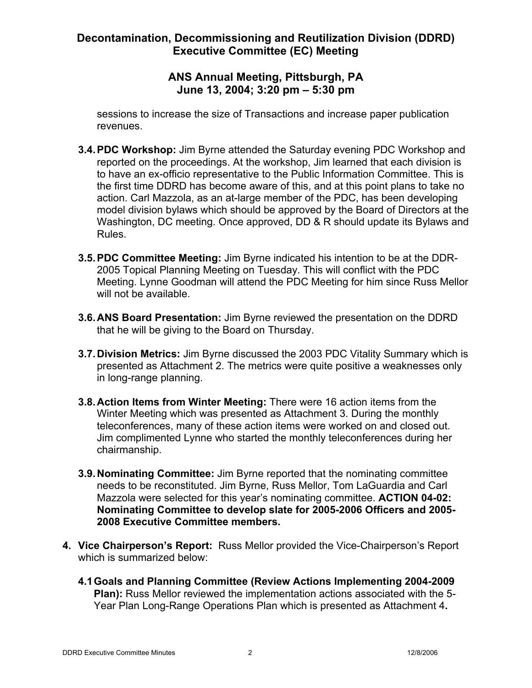## **ANS Annual Meeting, Pittsburgh, PA June 13, 2004; 3:20 pm – 5:30 pm**

sessions to increase the size of Transactions and increase paper publication revenues.

- **3.4.PDC Workshop:** Jim Byrne attended the Saturday evening PDC Workshop and reported on the proceedings. At the workshop, Jim learned that each division is to have an ex-officio representative to the Public Information Committee. This is the first time DDRD has become aware of this, and at this point plans to take no action. Carl Mazzola, as an at-large member of the PDC, has been developing model division bylaws which should be approved by the Board of Directors at the Washington, DC meeting. Once approved, DD & R should update its Bylaws and Rules.
- **3.5.PDC Committee Meeting:** Jim Byrne indicated his intention to be at the DDR-2005 Topical Planning Meeting on Tuesday. This will conflict with the PDC Meeting. Lynne Goodman will attend the PDC Meeting for him since Russ Mellor will not be available.
- **3.6.ANS Board Presentation:** Jim Byrne reviewed the presentation on the DDRD that he will be giving to the Board on Thursday.
- **3.7.Division Metrics:** Jim Byrne discussed the 2003 PDC Vitality Summary which is presented as Attachment 2. The metrics were quite positive a weaknesses only in long-range planning.
- **3.8.Action Items from Winter Meeting:** There were 16 action items from the Winter Meeting which was presented as Attachment 3. During the monthly teleconferences, many of these action items were worked on and closed out. Jim complimented Lynne who started the monthly teleconferences during her chairmanship.
- **3.9.Nominating Committee:** Jim Byrne reported that the nominating committee needs to be reconstituted. Jim Byrne, Russ Mellor, Tom LaGuardia and Carl Mazzola were selected for this year's nominating committee. **ACTION 04-02: Nominating Committee to develop slate for 2005-2006 Officers and 2005- 2008 Executive Committee members.**
- **4. Vice Chairperson's Report:** Russ Mellor provided the Vice-Chairperson's Report which is summarized below:
	- **4.1Goals and Planning Committee (Review Actions Implementing 2004-2009 Plan):** Russ Mellor reviewed the implementation actions associated with the 5- Year Plan Long-Range Operations Plan which is presented as Attachment 4**.**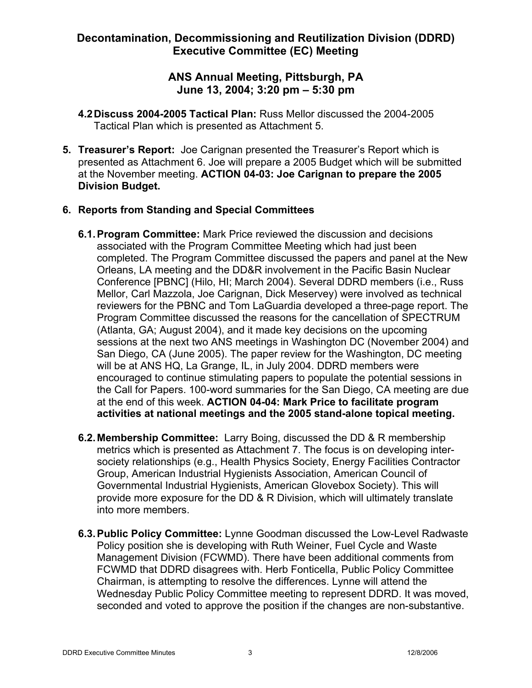## **ANS Annual Meeting, Pittsburgh, PA June 13, 2004; 3:20 pm – 5:30 pm**

- **4.2Discuss 2004-2005 Tactical Plan:** Russ Mellor discussed the 2004-2005 Tactical Plan which is presented as Attachment 5.
- **5. Treasurer's Report:** Joe Carignan presented the Treasurer's Report which is presented as Attachment 6. Joe will prepare a 2005 Budget which will be submitted at the November meeting. **ACTION 04-03: Joe Carignan to prepare the 2005 Division Budget.**

## **6. Reports from Standing and Special Committees**

- **6.1.Program Committee:** Mark Price reviewed the discussion and decisions associated with the Program Committee Meeting which had just been completed. The Program Committee discussed the papers and panel at the New Orleans, LA meeting and the DD&R involvement in the Pacific Basin Nuclear Conference [PBNC] (Hilo, HI; March 2004). Several DDRD members (i.e., Russ Mellor, Carl Mazzola, Joe Carignan, Dick Meservey) were involved as technical reviewers for the PBNC and Tom LaGuardia developed a three-page report. The Program Committee discussed the reasons for the cancellation of SPECTRUM (Atlanta, GA; August 2004), and it made key decisions on the upcoming sessions at the next two ANS meetings in Washington DC (November 2004) and San Diego, CA (June 2005). The paper review for the Washington, DC meeting will be at ANS HQ, La Grange, IL, in July 2004. DDRD members were encouraged to continue stimulating papers to populate the potential sessions in the Call for Papers. 100-word summaries for the San Diego, CA meeting are due at the end of this week. **ACTION 04-04: Mark Price to facilitate program activities at national meetings and the 2005 stand-alone topical meeting.**
- **6.2.Membership Committee:** Larry Boing, discussed the DD & R membership metrics which is presented as Attachment 7. The focus is on developing intersociety relationships (e.g., Health Physics Society, Energy Facilities Contractor Group, American Industrial Hygienists Association, American Council of Governmental Industrial Hygienists, American Glovebox Society). This will provide more exposure for the DD & R Division, which will ultimately translate into more members.
- **6.3.Public Policy Committee:** Lynne Goodman discussed the Low-Level Radwaste Policy position she is developing with Ruth Weiner, Fuel Cycle and Waste Management Division (FCWMD). There have been additional comments from FCWMD that DDRD disagrees with. Herb Fonticella, Public Policy Committee Chairman, is attempting to resolve the differences. Lynne will attend the Wednesday Public Policy Committee meeting to represent DDRD. It was moved, seconded and voted to approve the position if the changes are non-substantive.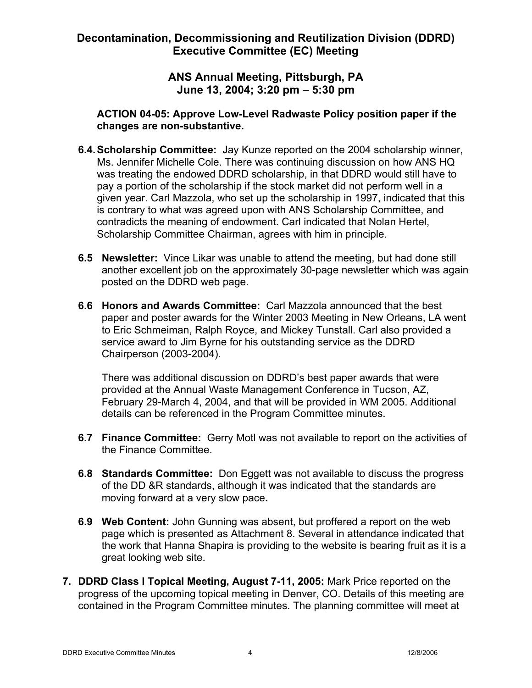## **ANS Annual Meeting, Pittsburgh, PA June 13, 2004; 3:20 pm – 5:30 pm**

#### **ACTION 04-05: Approve Low-Level Radwaste Policy position paper if the changes are non-substantive.**

- **6.4.Scholarship Committee:** Jay Kunze reported on the 2004 scholarship winner, Ms. Jennifer Michelle Cole. There was continuing discussion on how ANS HQ was treating the endowed DDRD scholarship, in that DDRD would still have to pay a portion of the scholarship if the stock market did not perform well in a given year. Carl Mazzola, who set up the scholarship in 1997, indicated that this is contrary to what was agreed upon with ANS Scholarship Committee, and contradicts the meaning of endowment. Carl indicated that Nolan Hertel, Scholarship Committee Chairman, agrees with him in principle.
- **6.5 Newsletter:** Vince Likar was unable to attend the meeting, but had done still another excellent job on the approximately 30-page newsletter which was again posted on the DDRD web page.
- **6.6 Honors and Awards Committee:** Carl Mazzola announced that the best paper and poster awards for the Winter 2003 Meeting in New Orleans, LA went to Eric Schmeiman, Ralph Royce, and Mickey Tunstall. Carl also provided a service award to Jim Byrne for his outstanding service as the DDRD Chairperson (2003-2004).

There was additional discussion on DDRD's best paper awards that were provided at the Annual Waste Management Conference in Tucson, AZ, February 29-March 4, 2004, and that will be provided in WM 2005. Additional details can be referenced in the Program Committee minutes.

- **6.7 Finance Committee:** Gerry Motl was not available to report on the activities of the Finance Committee.
- **6.8 Standards Committee:** Don Eggett was not available to discuss the progress of the DD &R standards, although it was indicated that the standards are moving forward at a very slow pace**.**
- **6.9 Web Content:** John Gunning was absent, but proffered a report on the web page which is presented as Attachment 8. Several in attendance indicated that the work that Hanna Shapira is providing to the website is bearing fruit as it is a great looking web site.
- **7. DDRD Class I Topical Meeting, August 7-11, 2005:** Mark Price reported on the progress of the upcoming topical meeting in Denver, CO. Details of this meeting are contained in the Program Committee minutes. The planning committee will meet at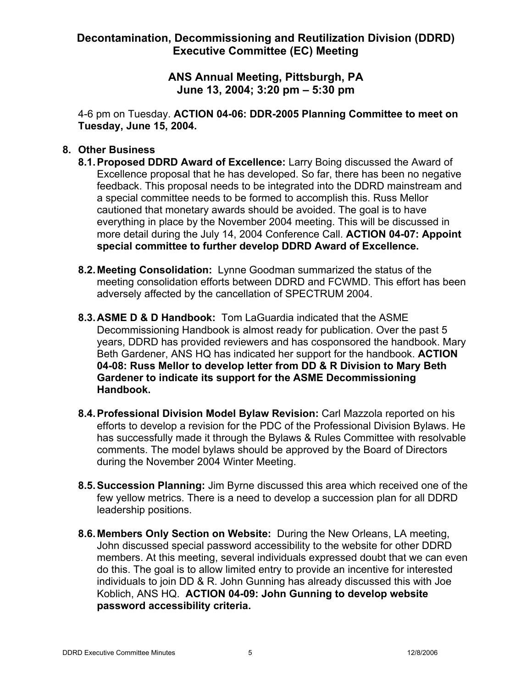## **ANS Annual Meeting, Pittsburgh, PA June 13, 2004; 3:20 pm – 5:30 pm**

4-6 pm on Tuesday. **ACTION 04-06: DDR-2005 Planning Committee to meet on Tuesday, June 15, 2004.**

#### **8. Other Business**

- **8.1.Proposed DDRD Award of Excellence:** Larry Boing discussed the Award of Excellence proposal that he has developed. So far, there has been no negative feedback. This proposal needs to be integrated into the DDRD mainstream and a special committee needs to be formed to accomplish this. Russ Mellor cautioned that monetary awards should be avoided. The goal is to have everything in place by the November 2004 meeting. This will be discussed in more detail during the July 14, 2004 Conference Call. **ACTION 04-07: Appoint special committee to further develop DDRD Award of Excellence.**
- **8.2.Meeting Consolidation:** Lynne Goodman summarized the status of the meeting consolidation efforts between DDRD and FCWMD. This effort has been adversely affected by the cancellation of SPECTRUM 2004.
- **8.3.ASME D & D Handbook:** Tom LaGuardia indicated that the ASME Decommissioning Handbook is almost ready for publication. Over the past 5 years, DDRD has provided reviewers and has cosponsored the handbook. Mary Beth Gardener, ANS HQ has indicated her support for the handbook. **ACTION 04-08: Russ Mellor to develop letter from DD & R Division to Mary Beth Gardener to indicate its support for the ASME Decommissioning Handbook.**
- **8.4.Professional Division Model Bylaw Revision:** Carl Mazzola reported on his efforts to develop a revision for the PDC of the Professional Division Bylaws. He has successfully made it through the Bylaws & Rules Committee with resolvable comments. The model bylaws should be approved by the Board of Directors during the November 2004 Winter Meeting.
- **8.5.Succession Planning:** Jim Byrne discussed this area which received one of the few yellow metrics. There is a need to develop a succession plan for all DDRD leadership positions.
- **8.6.Members Only Section on Website:** During the New Orleans, LA meeting, John discussed special password accessibility to the website for other DDRD members. At this meeting, several individuals expressed doubt that we can even do this. The goal is to allow limited entry to provide an incentive for interested individuals to join DD & R. John Gunning has already discussed this with Joe Koblich, ANS HQ. **ACTION 04-09: John Gunning to develop website password accessibility criteria.**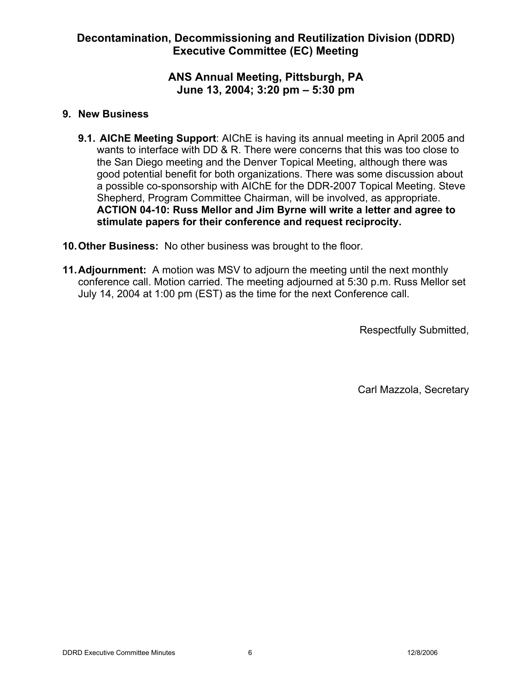## **ANS Annual Meeting, Pittsburgh, PA June 13, 2004; 3:20 pm – 5:30 pm**

#### **9. New Business**

- **9.1. AIChE Meeting Support**: AIChE is having its annual meeting in April 2005 and wants to interface with DD & R. There were concerns that this was too close to the San Diego meeting and the Denver Topical Meeting, although there was good potential benefit for both organizations. There was some discussion about a possible co-sponsorship with AIChE for the DDR-2007 Topical Meeting. Steve Shepherd, Program Committee Chairman, will be involved, as appropriate. **ACTION 04-10: Russ Mellor and Jim Byrne will write a letter and agree to stimulate papers for their conference and request reciprocity.**
- **10.Other Business:** No other business was brought to the floor.
- **11.Adjournment:** A motion was MSV to adjourn the meeting until the next monthly conference call. Motion carried. The meeting adjourned at 5:30 p.m. Russ Mellor set July 14, 2004 at 1:00 pm (EST) as the time for the next Conference call.

Respectfully Submitted,

Carl Mazzola, Secretary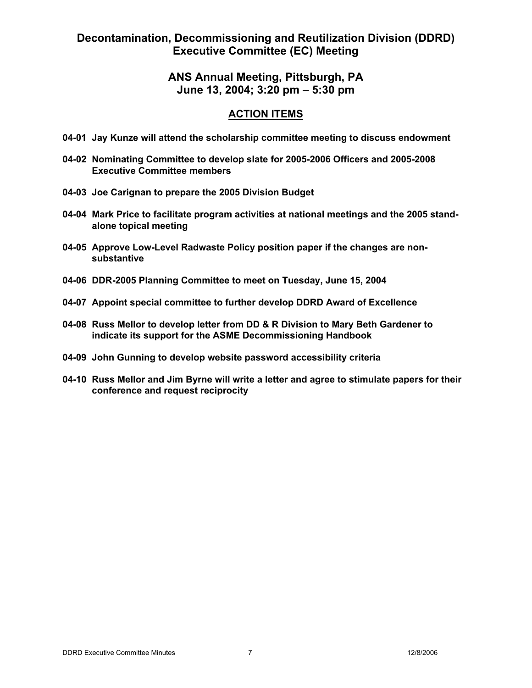## **ANS Annual Meeting, Pittsburgh, PA June 13, 2004; 3:20 pm – 5:30 pm**

#### **ACTION ITEMS**

- **04-01 Jay Kunze will attend the scholarship committee meeting to discuss endowment**
- **04-02 Nominating Committee to develop slate for 2005-2006 Officers and 2005-2008 Executive Committee members**
- **04-03 Joe Carignan to prepare the 2005 Division Budget**
- **04-04 Mark Price to facilitate program activities at national meetings and the 2005 standalone topical meeting**
- **04-05 Approve Low-Level Radwaste Policy position paper if the changes are nonsubstantive**
- **04-06 DDR-2005 Planning Committee to meet on Tuesday, June 15, 2004**
- **04-07 Appoint special committee to further develop DDRD Award of Excellence**
- **04-08 Russ Mellor to develop letter from DD & R Division to Mary Beth Gardener to indicate its support for the ASME Decommissioning Handbook**
- **04-09 John Gunning to develop website password accessibility criteria**
- **04-10 Russ Mellor and Jim Byrne will write a letter and agree to stimulate papers for their conference and request reciprocity**